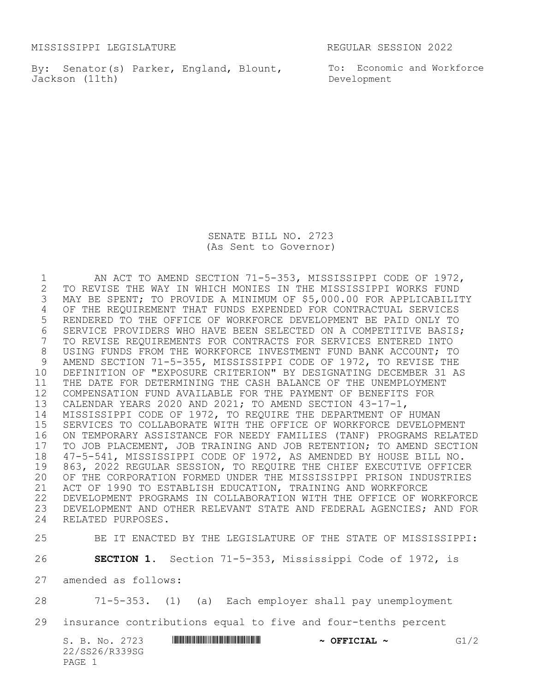MISSISSIPPI LEGISLATURE REGULAR SESSION 2022

By: Senator(s) Parker, England, Blount, To: Economic and Workforce Jackson (11th)

Development

SENATE BILL NO. 2723 (As Sent to Governor)

1 AN ACT TO AMEND SECTION 71-5-353, MISSISSIPPI CODE OF 1972,<br>2 TO REVISE THE WAY IN WHICH MONIES IN THE MISSISSIPPI WORKS FUND 2 TO REVISE THE WAY IN WHICH MONIES IN THE MISSISSIPPI WORKS FUND<br>3 MAY BE SPENT; TO PROVIDE A MINIMUM OF \$5,000.00 FOR APPLICABILI MAY BE SPENT; TO PROVIDE A MINIMUM OF \$5,000.00 FOR APPLICABILITY OF THE REQUIREMENT THAT FUNDS EXPENDED FOR CONTRACTUAL SERVICES RENDERED TO THE OFFICE OF WORKFORCE DEVELOPMENT BE PAID ONLY TO 6 SERVICE PROVIDERS WHO HAVE BEEN SELECTED ON A COMPETITIVE BASIS;<br>7 TO REVISE REQUIREMENTS FOR CONTRACTS FOR SERVICES ENTERED INTO TO REVISE REQUIREMENTS FOR CONTRACTS FOR SERVICES ENTERED INTO USING FUNDS FROM THE WORKFORCE INVESTMENT FUND BANK ACCOUNT; TO 9 AMEND SECTION 71-5-355, MISSISSIPPI CODE OF 1972, TO REVISE THE<br>10 DEFINITION OF "EXPOSURE CRITERION" BY DESIGNATING DECEMBER 31 A DEFINITION OF "EXPOSURE CRITERION" BY DESIGNATING DECEMBER 31 AS THE DATE FOR DETERMINING THE CASH BALANCE OF THE UNEMPLOYMENT COMPENSATION FUND AVAILABLE FOR THE PAYMENT OF BENEFITS FOR CALENDAR YEARS 2020 AND 2021; TO AMEND SECTION 43-17-1, MISSISSIPPI CODE OF 1972, TO REQUIRE THE DEPARTMENT OF HUMAN SERVICES TO COLLABORATE WITH THE OFFICE OF WORKFORCE DEVELOPMENT ON TEMPORARY ASSISTANCE FOR NEEDY FAMILIES (TANF) PROGRAMS RELATED 17 TO JOB PLACEMENT, JOB TRAINING AND JOB RETENTION; TO AMEND SECTION<br>18 47-5-541, MISSISSIPPI CODE OF 1972, AS AMENDED BY HOUSE BILL NO. 18 47-5-541, MISSISSIPPI CODE OF 1972, AS AMENDED BY HOUSE BILL NO.<br>19 863, 2022 REGULAR SESSION, TO REQUIRE THE CHIEF EXECUTIVE OFFICE 19 863, 2022 REGULAR SESSION, TO REQUIRE THE CHIEF EXECUTIVE OFFICER<br>20 OF THE CORPORATION FORMED UNDER THE MISSISSIPPI PRISON INDUSTRIES OF THE CORPORATION FORMED UNDER THE MISSISSIPPI PRISON INDUSTRIES ACT OF 1990 TO ESTABLISH EDUCATION, TRAINING AND WORKFORCE DEVELOPMENT PROGRAMS IN COLLABORATION WITH THE OFFICE OF WORKFORCE DEVELOPMENT AND OTHER RELEVANT STATE AND FEDERAL AGENCIES; AND FOR RELATED PURPOSES.

25 BE IT ENACTED BY THE LEGISLATURE OF THE STATE OF MISSISSIPPI:

26 **SECTION 1.** Section 71-5-353, Mississippi Code of 1972, is

27 amended as follows:

28 71-5-353. (1) (a) Each employer shall pay unemployment

29 insurance contributions equal to five and four-tenths percent

| S. B. No. 2723 | $\sim$ OFFICIAL $\sim$ | G1/2 |
|----------------|------------------------|------|
| 22/SS26/R339SG |                        |      |
| PAGE 1         |                        |      |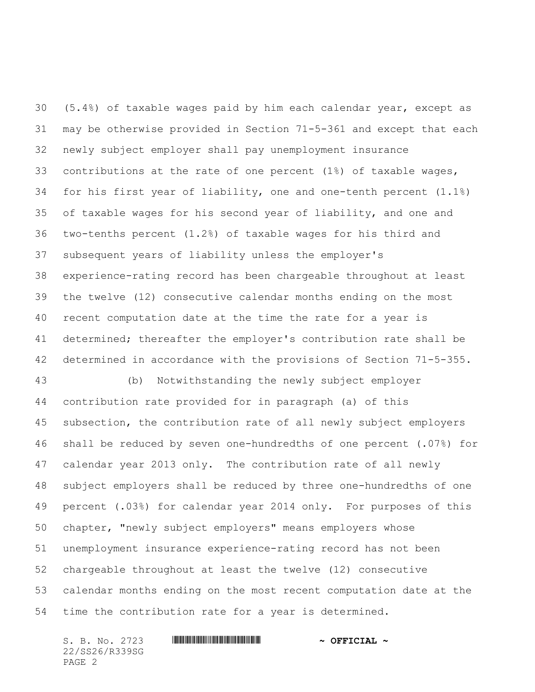(5.4%) of taxable wages paid by him each calendar year, except as may be otherwise provided in Section 71-5-361 and except that each newly subject employer shall pay unemployment insurance contributions at the rate of one percent (1%) of taxable wages, for his first year of liability, one and one-tenth percent (1.1%) of taxable wages for his second year of liability, and one and two-tenths percent (1.2%) of taxable wages for his third and subsequent years of liability unless the employer's experience-rating record has been chargeable throughout at least the twelve (12) consecutive calendar months ending on the most recent computation date at the time the rate for a year is determined; thereafter the employer's contribution rate shall be determined in accordance with the provisions of Section 71-5-355.

 (b) Notwithstanding the newly subject employer contribution rate provided for in paragraph (a) of this subsection, the contribution rate of all newly subject employers shall be reduced by seven one-hundredths of one percent (.07%) for calendar year 2013 only. The contribution rate of all newly subject employers shall be reduced by three one-hundredths of one percent (.03%) for calendar year 2014 only. For purposes of this chapter, "newly subject employers" means employers whose unemployment insurance experience-rating record has not been chargeable throughout at least the twelve (12) consecutive calendar months ending on the most recent computation date at the time the contribution rate for a year is determined.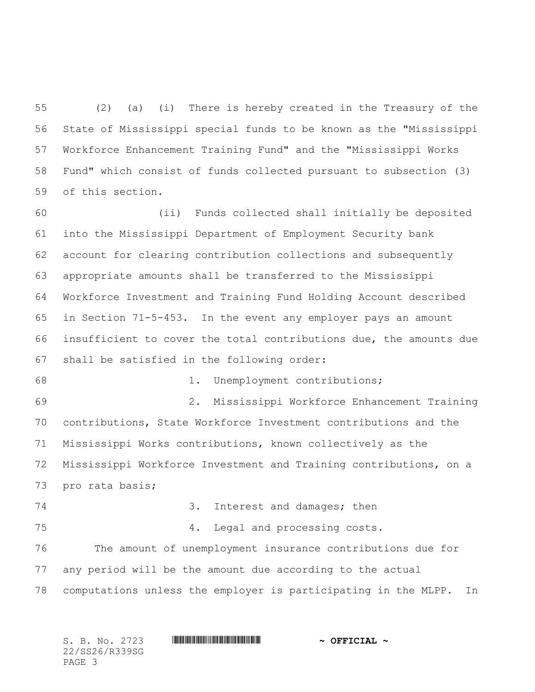(2) (a) (i) There is hereby created in the Treasury of the State of Mississippi special funds to be known as the "Mississippi Workforce Enhancement Training Fund" and the "Mississippi Works Fund" which consist of funds collected pursuant to subsection (3) of this section.

 (ii) Funds collected shall initially be deposited into the Mississippi Department of Employment Security bank account for clearing contribution collections and subsequently appropriate amounts shall be transferred to the Mississippi Workforce Investment and Training Fund Holding Account described in Section 71-5-453. In the event any employer pays an amount insufficient to cover the total contributions due, the amounts due shall be satisfied in the following order:

1. Unemployment contributions;

 2. Mississippi Workforce Enhancement Training contributions, State Workforce Investment contributions and the Mississippi Works contributions, known collectively as the Mississippi Workforce Investment and Training contributions, on a pro rata basis;

3. Interest and damages; then

4. Legal and processing costs.

 The amount of unemployment insurance contributions due for any period will be the amount due according to the actual computations unless the employer is participating in the MLPP. In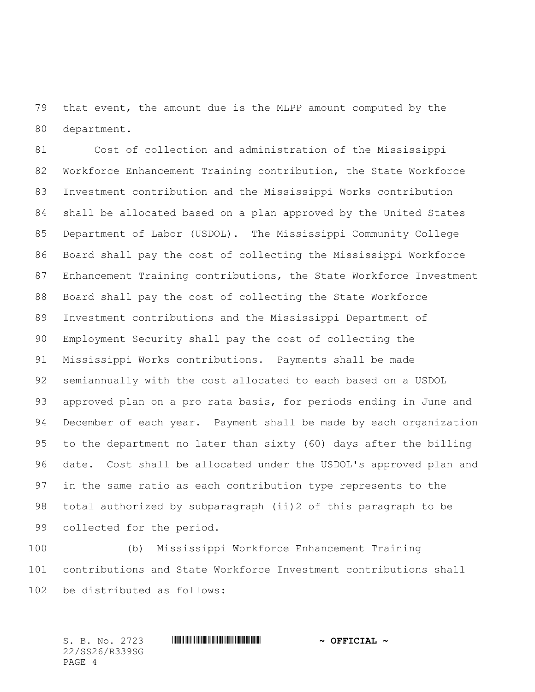that event, the amount due is the MLPP amount computed by the department.

 Cost of collection and administration of the Mississippi Workforce Enhancement Training contribution, the State Workforce Investment contribution and the Mississippi Works contribution shall be allocated based on a plan approved by the United States Department of Labor (USDOL). The Mississippi Community College Board shall pay the cost of collecting the Mississippi Workforce Enhancement Training contributions, the State Workforce Investment Board shall pay the cost of collecting the State Workforce Investment contributions and the Mississippi Department of Employment Security shall pay the cost of collecting the Mississippi Works contributions. Payments shall be made semiannually with the cost allocated to each based on a USDOL approved plan on a pro rata basis, for periods ending in June and December of each year. Payment shall be made by each organization to the department no later than sixty (60) days after the billing date. Cost shall be allocated under the USDOL's approved plan and in the same ratio as each contribution type represents to the total authorized by subparagraph (ii)2 of this paragraph to be collected for the period.

 (b) Mississippi Workforce Enhancement Training contributions and State Workforce Investment contributions shall be distributed as follows: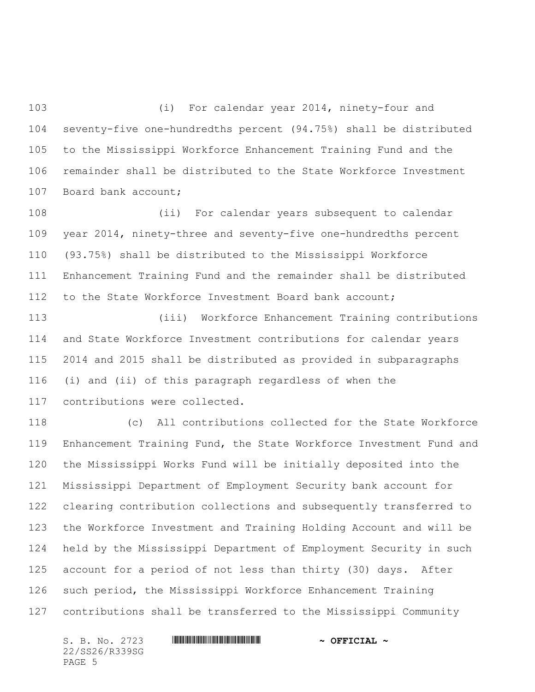(i) For calendar year 2014, ninety-four and seventy-five one-hundredths percent (94.75%) shall be distributed to the Mississippi Workforce Enhancement Training Fund and the remainder shall be distributed to the State Workforce Investment Board bank account;

 (ii) For calendar years subsequent to calendar year 2014, ninety-three and seventy-five one-hundredths percent (93.75%) shall be distributed to the Mississippi Workforce Enhancement Training Fund and the remainder shall be distributed to the State Workforce Investment Board bank account;

 (iii) Workforce Enhancement Training contributions and State Workforce Investment contributions for calendar years 2014 and 2015 shall be distributed as provided in subparagraphs (i) and (ii) of this paragraph regardless of when the contributions were collected.

 (c) All contributions collected for the State Workforce Enhancement Training Fund, the State Workforce Investment Fund and the Mississippi Works Fund will be initially deposited into the Mississippi Department of Employment Security bank account for clearing contribution collections and subsequently transferred to the Workforce Investment and Training Holding Account and will be held by the Mississippi Department of Employment Security in such account for a period of not less than thirty (30) days. After such period, the Mississippi Workforce Enhancement Training contributions shall be transferred to the Mississippi Community

22/SS26/R339SG PAGE 5

## S. B. No. 2723 \*SS26/R339SG\* **~ OFFICIAL ~**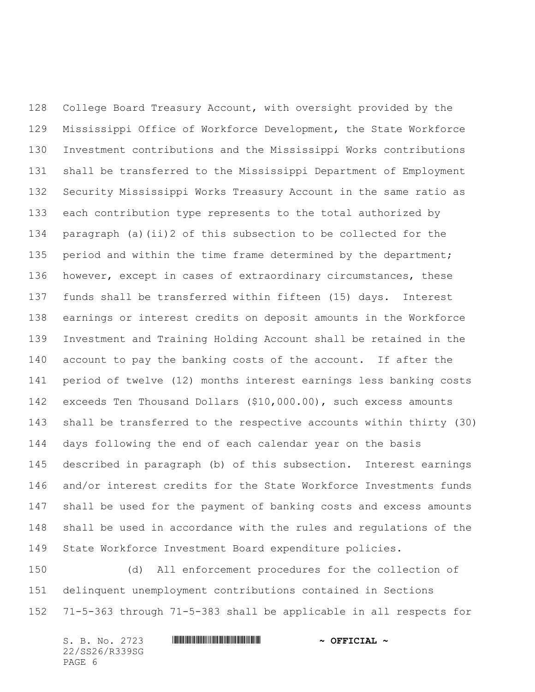College Board Treasury Account, with oversight provided by the Mississippi Office of Workforce Development, the State Workforce Investment contributions and the Mississippi Works contributions shall be transferred to the Mississippi Department of Employment Security Mississippi Works Treasury Account in the same ratio as each contribution type represents to the total authorized by paragraph (a)(ii)2 of this subsection to be collected for the 135 period and within the time frame determined by the department; however, except in cases of extraordinary circumstances, these funds shall be transferred within fifteen (15) days. Interest earnings or interest credits on deposit amounts in the Workforce Investment and Training Holding Account shall be retained in the account to pay the banking costs of the account. If after the period of twelve (12) months interest earnings less banking costs exceeds Ten Thousand Dollars (\$10,000.00), such excess amounts shall be transferred to the respective accounts within thirty (30) days following the end of each calendar year on the basis described in paragraph (b) of this subsection. Interest earnings and/or interest credits for the State Workforce Investments funds shall be used for the payment of banking costs and excess amounts shall be used in accordance with the rules and regulations of the State Workforce Investment Board expenditure policies.

 (d) All enforcement procedures for the collection of delinquent unemployment contributions contained in Sections 71-5-363 through 71-5-383 shall be applicable in all respects for

| S. B. No. 2723 | <u> 11 MARTIN 11 MARTIN 11 MARTIN 11 MARTIN 11 MARTIN 11 MARTIN 11 MARTIN 11 MARTIN 11 MARTIN 11 MARTIN 11 MARTI</u> | $\sim$ OFFICIAL $\sim$ |
|----------------|----------------------------------------------------------------------------------------------------------------------|------------------------|
| 22/SS26/R339SG |                                                                                                                      |                        |
| PAGE 6         |                                                                                                                      |                        |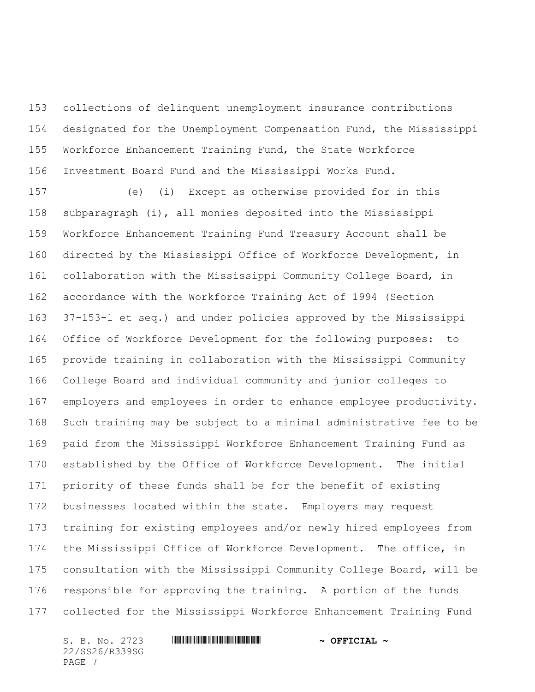collections of delinquent unemployment insurance contributions designated for the Unemployment Compensation Fund, the Mississippi Workforce Enhancement Training Fund, the State Workforce Investment Board Fund and the Mississippi Works Fund.

 (e) (i) Except as otherwise provided for in this subparagraph (i), all monies deposited into the Mississippi Workforce Enhancement Training Fund Treasury Account shall be directed by the Mississippi Office of Workforce Development, in collaboration with the Mississippi Community College Board, in accordance with the Workforce Training Act of 1994 (Section 37-153-1 et seq.) and under policies approved by the Mississippi Office of Workforce Development for the following purposes: to provide training in collaboration with the Mississippi Community College Board and individual community and junior colleges to employers and employees in order to enhance employee productivity. Such training may be subject to a minimal administrative fee to be paid from the Mississippi Workforce Enhancement Training Fund as established by the Office of Workforce Development. The initial priority of these funds shall be for the benefit of existing businesses located within the state. Employers may request training for existing employees and/or newly hired employees from the Mississippi Office of Workforce Development. The office, in consultation with the Mississippi Community College Board, will be responsible for approving the training. A portion of the funds collected for the Mississippi Workforce Enhancement Training Fund

22/SS26/R339SG PAGE 7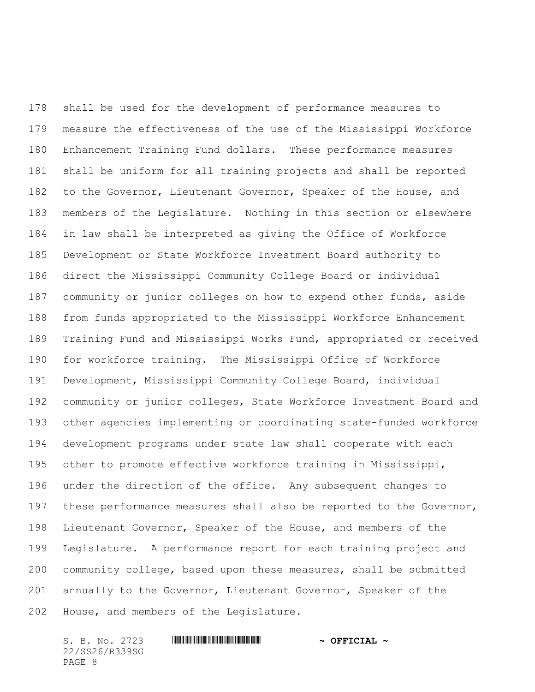shall be used for the development of performance measures to measure the effectiveness of the use of the Mississippi Workforce Enhancement Training Fund dollars. These performance measures shall be uniform for all training projects and shall be reported to the Governor, Lieutenant Governor, Speaker of the House, and members of the Legislature. Nothing in this section or elsewhere in law shall be interpreted as giving the Office of Workforce Development or State Workforce Investment Board authority to direct the Mississippi Community College Board or individual 187 community or junior colleges on how to expend other funds, aside from funds appropriated to the Mississippi Workforce Enhancement Training Fund and Mississippi Works Fund, appropriated or received for workforce training. The Mississippi Office of Workforce Development, Mississippi Community College Board, individual community or junior colleges, State Workforce Investment Board and other agencies implementing or coordinating state-funded workforce development programs under state law shall cooperate with each other to promote effective workforce training in Mississippi, under the direction of the office. Any subsequent changes to these performance measures shall also be reported to the Governor, Lieutenant Governor, Speaker of the House, and members of the Legislature. A performance report for each training project and community college, based upon these measures, shall be submitted annually to the Governor, Lieutenant Governor, Speaker of the House, and members of the Legislature.

22/SS26/R339SG PAGE 8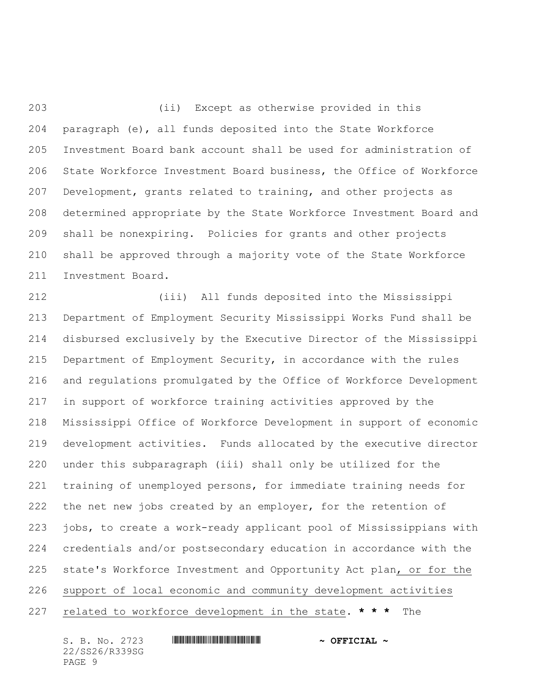(ii) Except as otherwise provided in this paragraph (e), all funds deposited into the State Workforce Investment Board bank account shall be used for administration of State Workforce Investment Board business, the Office of Workforce Development, grants related to training, and other projects as determined appropriate by the State Workforce Investment Board and shall be nonexpiring. Policies for grants and other projects shall be approved through a majority vote of the State Workforce Investment Board.

 (iii) All funds deposited into the Mississippi Department of Employment Security Mississippi Works Fund shall be disbursed exclusively by the Executive Director of the Mississippi Department of Employment Security, in accordance with the rules and regulations promulgated by the Office of Workforce Development in support of workforce training activities approved by the Mississippi Office of Workforce Development in support of economic development activities. Funds allocated by the executive director under this subparagraph (iii) shall only be utilized for the training of unemployed persons, for immediate training needs for 222 the net new jobs created by an employer, for the retention of jobs, to create a work-ready applicant pool of Mississippians with credentials and/or postsecondary education in accordance with the state's Workforce Investment and Opportunity Act plan, or for the support of local economic and community development activities related to workforce development in the state. **\* \* \*** The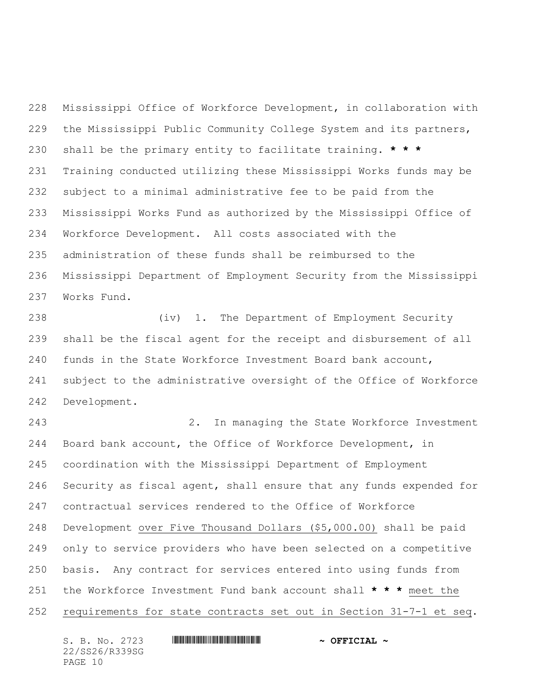Mississippi Office of Workforce Development, in collaboration with the Mississippi Public Community College System and its partners, shall be the primary entity to facilitate training. **\* \* \*** Training conducted utilizing these Mississippi Works funds may be subject to a minimal administrative fee to be paid from the Mississippi Works Fund as authorized by the Mississippi Office of Workforce Development. All costs associated with the administration of these funds shall be reimbursed to the Mississippi Department of Employment Security from the Mississippi Works Fund.

 (iv) 1. The Department of Employment Security shall be the fiscal agent for the receipt and disbursement of all funds in the State Workforce Investment Board bank account, subject to the administrative oversight of the Office of Workforce Development.

 2. In managing the State Workforce Investment Board bank account, the Office of Workforce Development, in coordination with the Mississippi Department of Employment Security as fiscal agent, shall ensure that any funds expended for contractual services rendered to the Office of Workforce Development over Five Thousand Dollars (\$5,000.00) shall be paid only to service providers who have been selected on a competitive basis. Any contract for services entered into using funds from the Workforce Investment Fund bank account shall **\* \* \*** meet the requirements for state contracts set out in Section 31-7-1 et seq.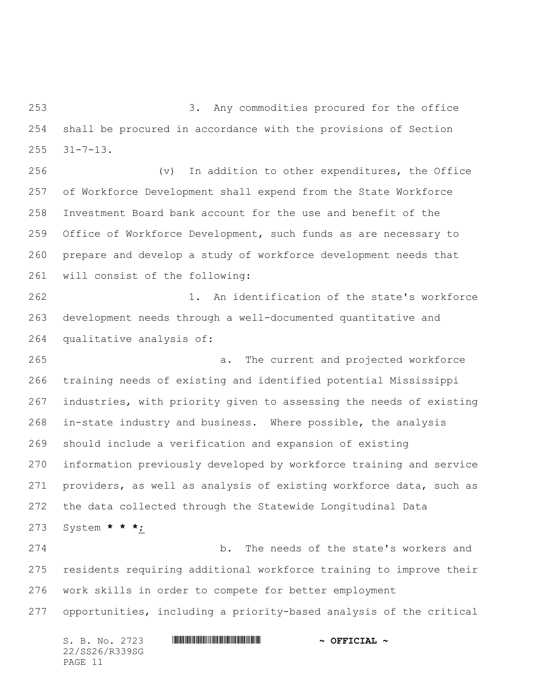3. Any commodities procured for the office shall be procured in accordance with the provisions of Section 31-7-13.

 (v) In addition to other expenditures, the Office of Workforce Development shall expend from the State Workforce Investment Board bank account for the use and benefit of the Office of Workforce Development, such funds as are necessary to prepare and develop a study of workforce development needs that will consist of the following:

 1. An identification of the state's workforce development needs through a well-documented quantitative and qualitative analysis of:

 a. The current and projected workforce training needs of existing and identified potential Mississippi industries, with priority given to assessing the needs of existing in-state industry and business. Where possible, the analysis should include a verification and expansion of existing information previously developed by workforce training and service providers, as well as analysis of existing workforce data, such as the data collected through the Statewide Longitudinal Data System **\* \* \***;

 b. The needs of the state's workers and residents requiring additional workforce training to improve their work skills in order to compete for better employment opportunities, including a priority-based analysis of the critical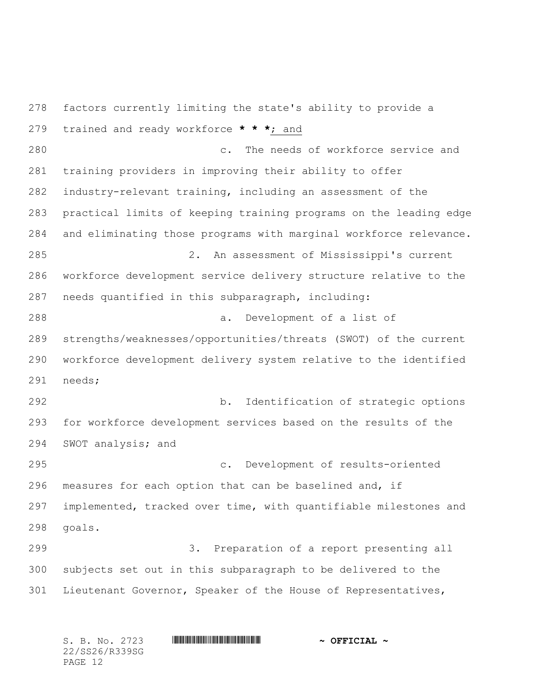factors currently limiting the state's ability to provide a trained and ready workforce **\* \* \***; and c. The needs of workforce service and training providers in improving their ability to offer industry-relevant training, including an assessment of the practical limits of keeping training programs on the leading edge and eliminating those programs with marginal workforce relevance. 2. An assessment of Mississippi's current workforce development service delivery structure relative to the needs quantified in this subparagraph, including: a. Development of a list of strengths/weaknesses/opportunities/threats (SWOT) of the current workforce development delivery system relative to the identified needs; b. Identification of strategic options for workforce development services based on the results of the SWOT analysis; and c. Development of results-oriented measures for each option that can be baselined and, if implemented, tracked over time, with quantifiable milestones and goals. 3. Preparation of a report presenting all subjects set out in this subparagraph to be delivered to the Lieutenant Governor, Speaker of the House of Representatives,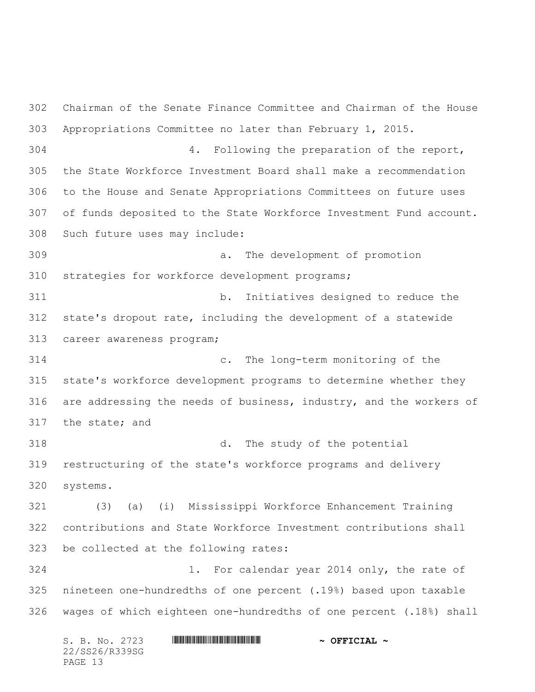Chairman of the Senate Finance Committee and Chairman of the House Appropriations Committee no later than February 1, 2015. 4. Following the preparation of the report, the State Workforce Investment Board shall make a recommendation to the House and Senate Appropriations Committees on future uses of funds deposited to the State Workforce Investment Fund account. Such future uses may include: a. The development of promotion strategies for workforce development programs; b. Initiatives designed to reduce the state's dropout rate, including the development of a statewide career awareness program; c. The long-term monitoring of the state's workforce development programs to determine whether they are addressing the needs of business, industry, and the workers of the state; and d. The study of the potential restructuring of the state's workforce programs and delivery systems. (3) (a) (i) Mississippi Workforce Enhancement Training contributions and State Workforce Investment contributions shall be collected at the following rates: 1. For calendar year 2014 only, the rate of nineteen one-hundredths of one percent (.19%) based upon taxable wages of which eighteen one-hundredths of one percent (.18%) shall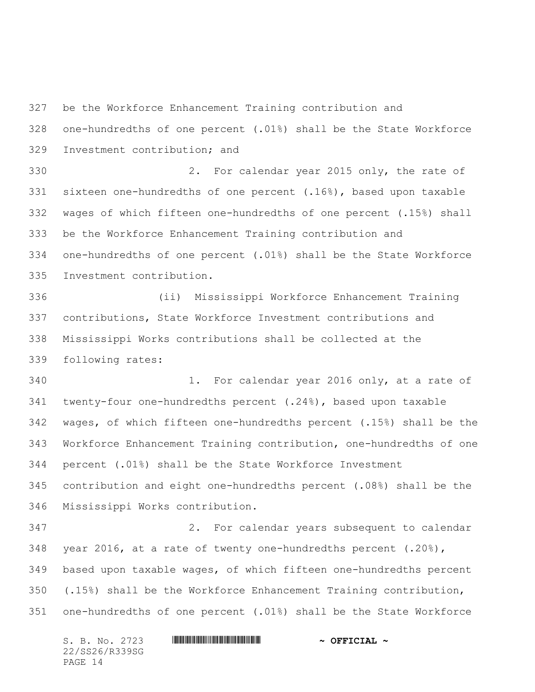be the Workforce Enhancement Training contribution and

 one-hundredths of one percent (.01%) shall be the State Workforce Investment contribution; and

 2. For calendar year 2015 only, the rate of sixteen one-hundredths of one percent (.16%), based upon taxable wages of which fifteen one-hundredths of one percent (.15%) shall be the Workforce Enhancement Training contribution and one-hundredths of one percent (.01%) shall be the State Workforce Investment contribution.

 (ii) Mississippi Workforce Enhancement Training contributions, State Workforce Investment contributions and Mississippi Works contributions shall be collected at the following rates:

 1. For calendar year 2016 only, at a rate of twenty-four one-hundredths percent (.24%), based upon taxable wages, of which fifteen one-hundredths percent (.15%) shall be the Workforce Enhancement Training contribution, one-hundredths of one percent (.01%) shall be the State Workforce Investment contribution and eight one-hundredths percent (.08%) shall be the Mississippi Works contribution.

 2. For calendar years subsequent to calendar year 2016, at a rate of twenty one-hundredths percent (.20%), based upon taxable wages, of which fifteen one-hundredths percent (.15%) shall be the Workforce Enhancement Training contribution, one-hundredths of one percent (.01%) shall be the State Workforce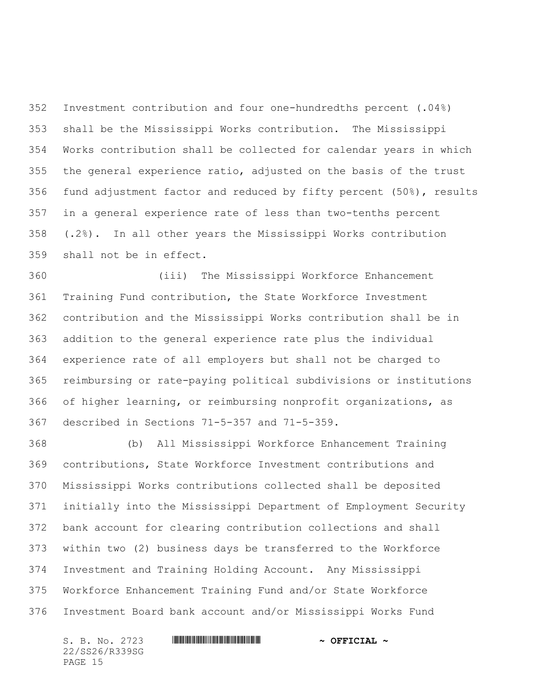Investment contribution and four one-hundredths percent (.04%) shall be the Mississippi Works contribution. The Mississippi Works contribution shall be collected for calendar years in which the general experience ratio, adjusted on the basis of the trust fund adjustment factor and reduced by fifty percent (50%), results in a general experience rate of less than two-tenths percent (.2%). In all other years the Mississippi Works contribution shall not be in effect.

 (iii) The Mississippi Workforce Enhancement Training Fund contribution, the State Workforce Investment contribution and the Mississippi Works contribution shall be in addition to the general experience rate plus the individual experience rate of all employers but shall not be charged to reimbursing or rate-paying political subdivisions or institutions of higher learning, or reimbursing nonprofit organizations, as described in Sections 71-5-357 and 71-5-359.

 (b) All Mississippi Workforce Enhancement Training contributions, State Workforce Investment contributions and Mississippi Works contributions collected shall be deposited initially into the Mississippi Department of Employment Security bank account for clearing contribution collections and shall within two (2) business days be transferred to the Workforce Investment and Training Holding Account. Any Mississippi Workforce Enhancement Training Fund and/or State Workforce Investment Board bank account and/or Mississippi Works Fund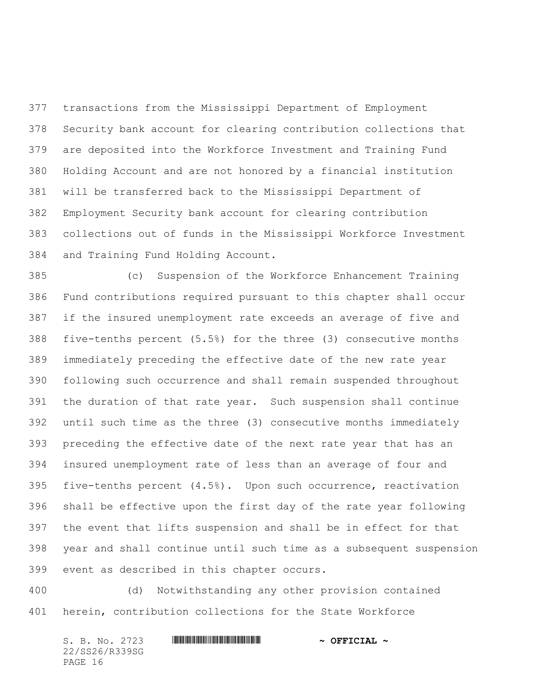transactions from the Mississippi Department of Employment Security bank account for clearing contribution collections that are deposited into the Workforce Investment and Training Fund Holding Account and are not honored by a financial institution will be transferred back to the Mississippi Department of Employment Security bank account for clearing contribution collections out of funds in the Mississippi Workforce Investment and Training Fund Holding Account.

 (c) Suspension of the Workforce Enhancement Training Fund contributions required pursuant to this chapter shall occur if the insured unemployment rate exceeds an average of five and five-tenths percent (5.5%) for the three (3) consecutive months immediately preceding the effective date of the new rate year following such occurrence and shall remain suspended throughout the duration of that rate year. Such suspension shall continue until such time as the three (3) consecutive months immediately preceding the effective date of the next rate year that has an insured unemployment rate of less than an average of four and five-tenths percent (4.5%). Upon such occurrence, reactivation shall be effective upon the first day of the rate year following the event that lifts suspension and shall be in effect for that year and shall continue until such time as a subsequent suspension event as described in this chapter occurs.

 (d) Notwithstanding any other provision contained herein, contribution collections for the State Workforce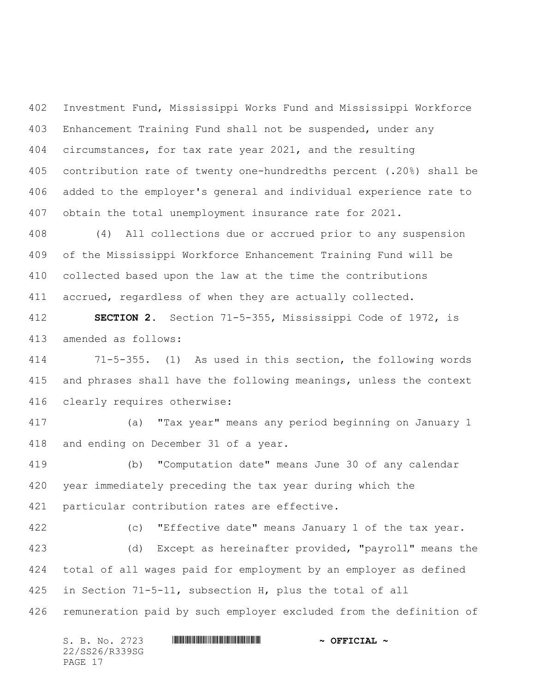Investment Fund, Mississippi Works Fund and Mississippi Workforce Enhancement Training Fund shall not be suspended, under any circumstances, for tax rate year 2021, and the resulting contribution rate of twenty one-hundredths percent (.20%) shall be added to the employer's general and individual experience rate to obtain the total unemployment insurance rate for 2021.

 (4) All collections due or accrued prior to any suspension of the Mississippi Workforce Enhancement Training Fund will be collected based upon the law at the time the contributions accrued, regardless of when they are actually collected.

 **SECTION 2.** Section 71-5-355, Mississippi Code of 1972, is amended as follows:

 71-5-355. (1) As used in this section, the following words and phrases shall have the following meanings, unless the context clearly requires otherwise:

 (a) "Tax year" means any period beginning on January 1 and ending on December 31 of a year.

 (b) "Computation date" means June 30 of any calendar year immediately preceding the tax year during which the particular contribution rates are effective.

(c) "Effective date" means January 1 of the tax year.

 (d) Except as hereinafter provided, "payroll" means the total of all wages paid for employment by an employer as defined in Section 71-5-11, subsection H, plus the total of all remuneration paid by such employer excluded from the definition of

| S. B. No. 2723 | $\sim$ OFFICIAL $\sim$ |
|----------------|------------------------|
| 22/SS26/R339SG |                        |
| PAGE 17        |                        |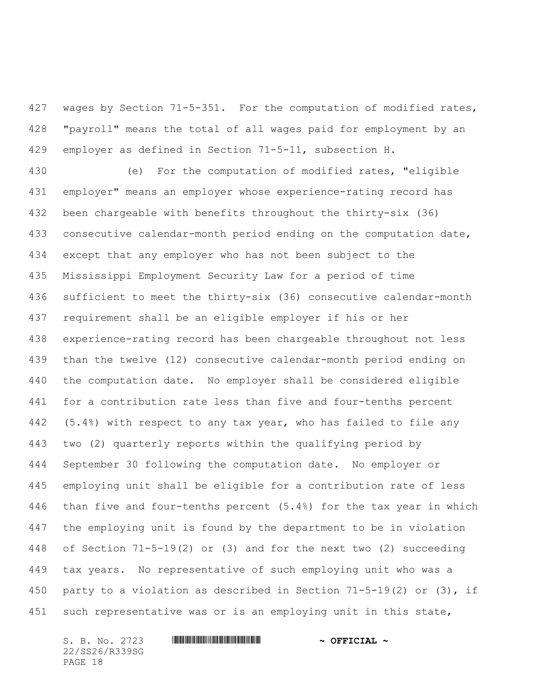wages by Section 71-5-351. For the computation of modified rates, "payroll" means the total of all wages paid for employment by an employer as defined in Section 71-5-11, subsection H.

 (e) For the computation of modified rates, "eligible employer" means an employer whose experience-rating record has been chargeable with benefits throughout the thirty-six (36) consecutive calendar-month period ending on the computation date, except that any employer who has not been subject to the Mississippi Employment Security Law for a period of time sufficient to meet the thirty-six (36) consecutive calendar-month requirement shall be an eligible employer if his or her experience-rating record has been chargeable throughout not less than the twelve (12) consecutive calendar-month period ending on the computation date. No employer shall be considered eligible for a contribution rate less than five and four-tenths percent (5.4%) with respect to any tax year, who has failed to file any two (2) quarterly reports within the qualifying period by September 30 following the computation date. No employer or employing unit shall be eligible for a contribution rate of less than five and four-tenths percent (5.4%) for the tax year in which the employing unit is found by the department to be in violation of Section 71-5-19(2) or (3) and for the next two (2) succeeding tax years. No representative of such employing unit who was a party to a violation as described in Section 71-5-19(2) or (3), if such representative was or is an employing unit in this state,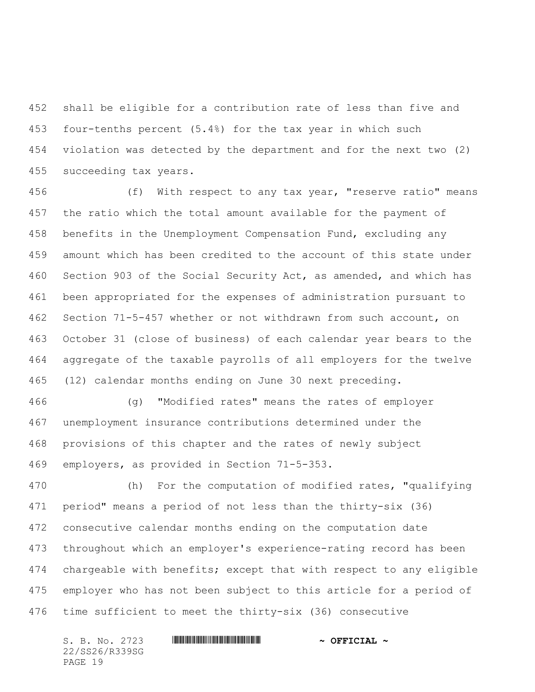shall be eligible for a contribution rate of less than five and four-tenths percent (5.4%) for the tax year in which such violation was detected by the department and for the next two (2) succeeding tax years.

 (f) With respect to any tax year, "reserve ratio" means the ratio which the total amount available for the payment of benefits in the Unemployment Compensation Fund, excluding any amount which has been credited to the account of this state under Section 903 of the Social Security Act, as amended, and which has been appropriated for the expenses of administration pursuant to Section 71-5-457 whether or not withdrawn from such account, on October 31 (close of business) of each calendar year bears to the aggregate of the taxable payrolls of all employers for the twelve (12) calendar months ending on June 30 next preceding.

 (g) "Modified rates" means the rates of employer unemployment insurance contributions determined under the provisions of this chapter and the rates of newly subject employers, as provided in Section 71-5-353.

 (h) For the computation of modified rates, "qualifying period" means a period of not less than the thirty-six (36) consecutive calendar months ending on the computation date throughout which an employer's experience-rating record has been chargeable with benefits; except that with respect to any eligible employer who has not been subject to this article for a period of time sufficient to meet the thirty-six (36) consecutive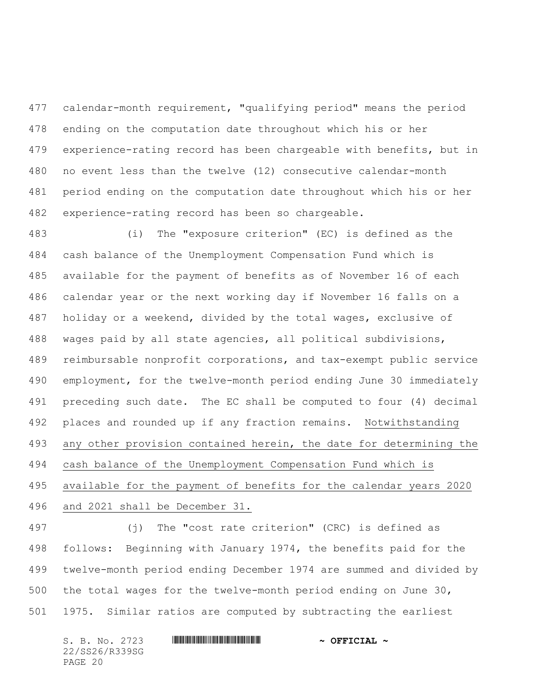calendar-month requirement, "qualifying period" means the period ending on the computation date throughout which his or her experience-rating record has been chargeable with benefits, but in no event less than the twelve (12) consecutive calendar-month period ending on the computation date throughout which his or her experience-rating record has been so chargeable.

 (i) The "exposure criterion" (EC) is defined as the cash balance of the Unemployment Compensation Fund which is available for the payment of benefits as of November 16 of each calendar year or the next working day if November 16 falls on a holiday or a weekend, divided by the total wages, exclusive of wages paid by all state agencies, all political subdivisions, reimbursable nonprofit corporations, and tax-exempt public service employment, for the twelve-month period ending June 30 immediately preceding such date. The EC shall be computed to four (4) decimal places and rounded up if any fraction remains. Notwithstanding any other provision contained herein, the date for determining the cash balance of the Unemployment Compensation Fund which is available for the payment of benefits for the calendar years 2020 and 2021 shall be December 31.

 (j) The "cost rate criterion" (CRC) is defined as follows: Beginning with January 1974, the benefits paid for the twelve-month period ending December 1974 are summed and divided by the total wages for the twelve-month period ending on June 30, 1975. Similar ratios are computed by subtracting the earliest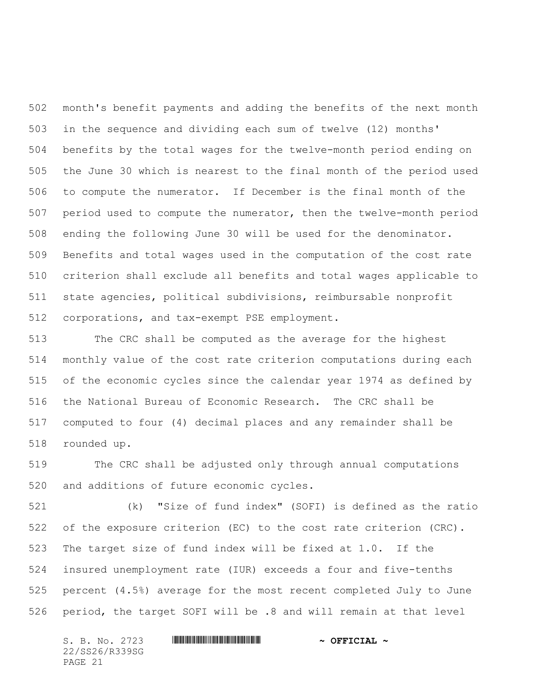month's benefit payments and adding the benefits of the next month in the sequence and dividing each sum of twelve (12) months' benefits by the total wages for the twelve-month period ending on the June 30 which is nearest to the final month of the period used to compute the numerator. If December is the final month of the period used to compute the numerator, then the twelve-month period ending the following June 30 will be used for the denominator. Benefits and total wages used in the computation of the cost rate criterion shall exclude all benefits and total wages applicable to state agencies, political subdivisions, reimbursable nonprofit corporations, and tax-exempt PSE employment.

 The CRC shall be computed as the average for the highest monthly value of the cost rate criterion computations during each of the economic cycles since the calendar year 1974 as defined by the National Bureau of Economic Research. The CRC shall be computed to four (4) decimal places and any remainder shall be rounded up.

 The CRC shall be adjusted only through annual computations and additions of future economic cycles.

 (k) "Size of fund index" (SOFI) is defined as the ratio of the exposure criterion (EC) to the cost rate criterion (CRC). The target size of fund index will be fixed at 1.0. If the insured unemployment rate (IUR) exceeds a four and five-tenths percent (4.5%) average for the most recent completed July to June period, the target SOFI will be .8 and will remain at that level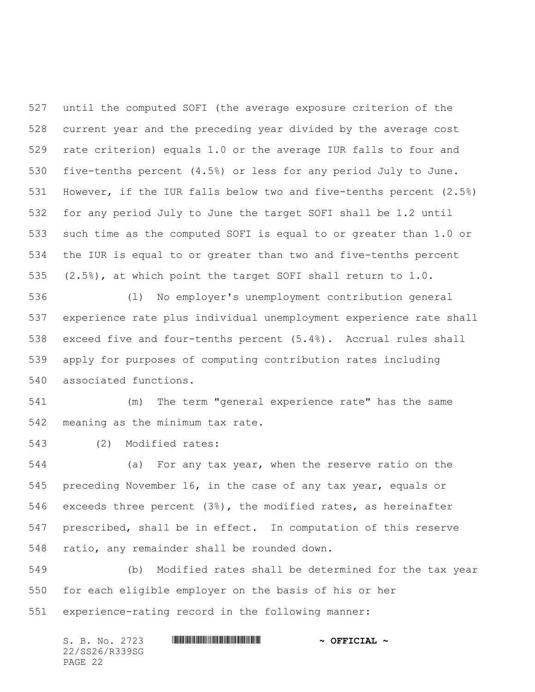until the computed SOFI (the average exposure criterion of the current year and the preceding year divided by the average cost rate criterion) equals 1.0 or the average IUR falls to four and five-tenths percent (4.5%) or less for any period July to June. However, if the IUR falls below two and five-tenths percent (2.5%) for any period July to June the target SOFI shall be 1.2 until such time as the computed SOFI is equal to or greater than 1.0 or the IUR is equal to or greater than two and five-tenths percent (2.5%), at which point the target SOFI shall return to 1.0.

 (l) No employer's unemployment contribution general experience rate plus individual unemployment experience rate shall exceed five and four-tenths percent (5.4%). Accrual rules shall apply for purposes of computing contribution rates including associated functions.

 (m) The term "general experience rate" has the same meaning as the minimum tax rate.

(2) Modified rates:

 (a) For any tax year, when the reserve ratio on the preceding November 16, in the case of any tax year, equals or exceeds three percent (3%), the modified rates, as hereinafter prescribed, shall be in effect. In computation of this reserve ratio, any remainder shall be rounded down.

 (b) Modified rates shall be determined for the tax year for each eligible employer on the basis of his or her experience-rating record in the following manner: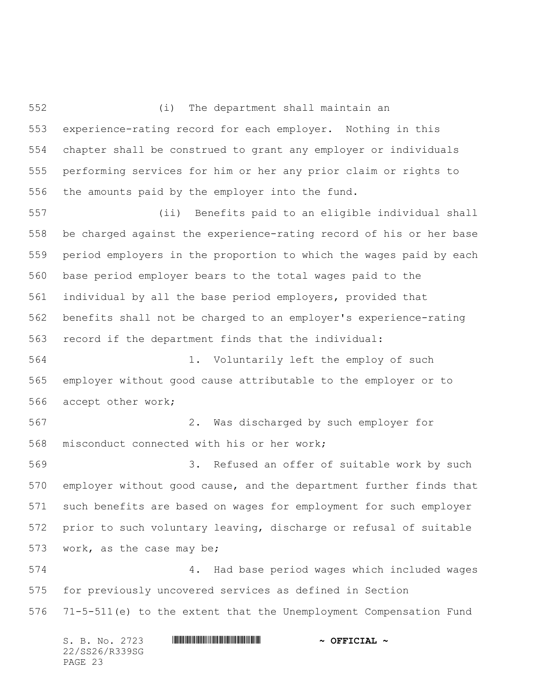(i) The department shall maintain an experience-rating record for each employer. Nothing in this chapter shall be construed to grant any employer or individuals performing services for him or her any prior claim or rights to the amounts paid by the employer into the fund.

 (ii) Benefits paid to an eligible individual shall be charged against the experience-rating record of his or her base period employers in the proportion to which the wages paid by each base period employer bears to the total wages paid to the individual by all the base period employers, provided that benefits shall not be charged to an employer's experience-rating record if the department finds that the individual:

 1. Voluntarily left the employ of such employer without good cause attributable to the employer or to accept other work;

 2. Was discharged by such employer for misconduct connected with his or her work;

 3. Refused an offer of suitable work by such employer without good cause, and the department further finds that such benefits are based on wages for employment for such employer prior to such voluntary leaving, discharge or refusal of suitable work, as the case may be;

 4. Had base period wages which included wages for previously uncovered services as defined in Section 71-5-511(e) to the extent that the Unemployment Compensation Fund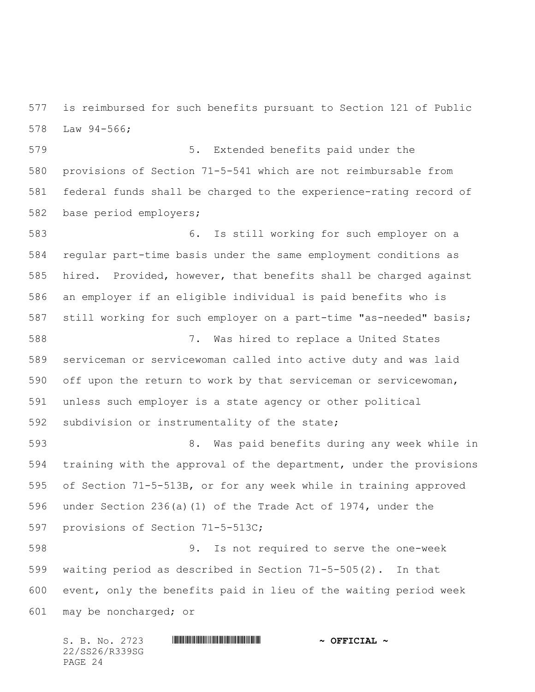is reimbursed for such benefits pursuant to Section 121 of Public Law 94-566;

 5. Extended benefits paid under the provisions of Section 71-5-541 which are not reimbursable from federal funds shall be charged to the experience-rating record of base period employers;

 6. Is still working for such employer on a regular part-time basis under the same employment conditions as hired. Provided, however, that benefits shall be charged against an employer if an eligible individual is paid benefits who is still working for such employer on a part-time "as-needed" basis; 7. Was hired to replace a United States serviceman or servicewoman called into active duty and was laid off upon the return to work by that serviceman or servicewoman, unless such employer is a state agency or other political subdivision or instrumentality of the state;

 8. Was paid benefits during any week while in training with the approval of the department, under the provisions of Section 71-5-513B, or for any week while in training approved under Section 236(a)(1) of the Trade Act of 1974, under the provisions of Section 71-5-513C;

 9. Is not required to serve the one-week waiting period as described in Section 71-5-505(2). In that event, only the benefits paid in lieu of the waiting period week may be noncharged; or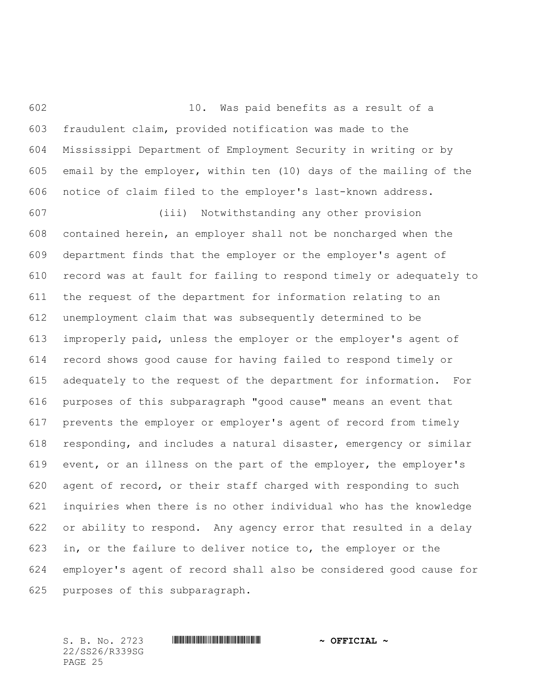10. Was paid benefits as a result of a fraudulent claim, provided notification was made to the Mississippi Department of Employment Security in writing or by email by the employer, within ten (10) days of the mailing of the notice of claim filed to the employer's last-known address.

 (iii) Notwithstanding any other provision contained herein, an employer shall not be noncharged when the department finds that the employer or the employer's agent of record was at fault for failing to respond timely or adequately to the request of the department for information relating to an unemployment claim that was subsequently determined to be improperly paid, unless the employer or the employer's agent of record shows good cause for having failed to respond timely or adequately to the request of the department for information. For purposes of this subparagraph "good cause" means an event that prevents the employer or employer's agent of record from timely responding, and includes a natural disaster, emergency or similar event, or an illness on the part of the employer, the employer's agent of record, or their staff charged with responding to such inquiries when there is no other individual who has the knowledge or ability to respond. Any agency error that resulted in a delay in, or the failure to deliver notice to, the employer or the employer's agent of record shall also be considered good cause for purposes of this subparagraph.

22/SS26/R339SG PAGE 25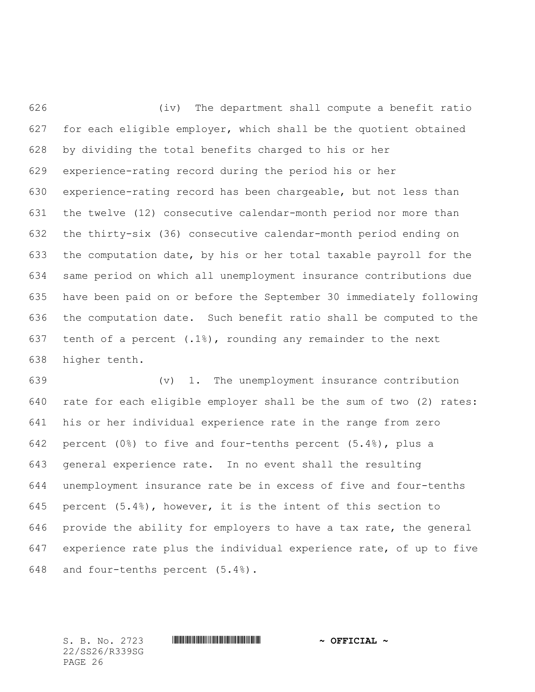(iv) The department shall compute a benefit ratio for each eligible employer, which shall be the quotient obtained by dividing the total benefits charged to his or her experience-rating record during the period his or her experience-rating record has been chargeable, but not less than the twelve (12) consecutive calendar-month period nor more than the thirty-six (36) consecutive calendar-month period ending on the computation date, by his or her total taxable payroll for the same period on which all unemployment insurance contributions due have been paid on or before the September 30 immediately following the computation date. Such benefit ratio shall be computed to the tenth of a percent (.1%), rounding any remainder to the next higher tenth.

 (v) 1. The unemployment insurance contribution rate for each eligible employer shall be the sum of two (2) rates: his or her individual experience rate in the range from zero percent (0%) to five and four-tenths percent (5.4%), plus a general experience rate. In no event shall the resulting unemployment insurance rate be in excess of five and four-tenths 645 percent  $(5.4)$ , however, it is the intent of this section to provide the ability for employers to have a tax rate, the general experience rate plus the individual experience rate, of up to five and four-tenths percent (5.4%).

22/SS26/R339SG PAGE 26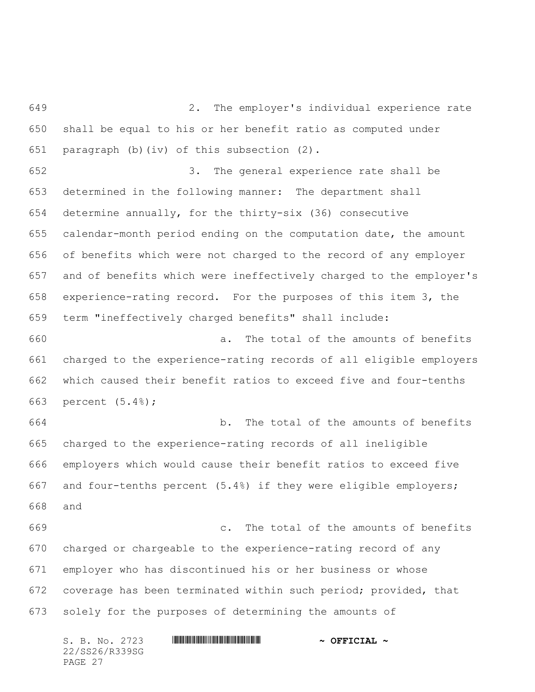2. The employer's individual experience rate shall be equal to his or her benefit ratio as computed under paragraph (b)(iv) of this subsection (2).

 3. The general experience rate shall be determined in the following manner: The department shall determine annually, for the thirty-six (36) consecutive calendar-month period ending on the computation date, the amount of benefits which were not charged to the record of any employer and of benefits which were ineffectively charged to the employer's experience-rating record. For the purposes of this item 3, the term "ineffectively charged benefits" shall include:

 a. The total of the amounts of benefits charged to the experience-rating records of all eligible employers which caused their benefit ratios to exceed five and four-tenths percent (5.4%);

 b. The total of the amounts of benefits charged to the experience-rating records of all ineligible employers which would cause their benefit ratios to exceed five and four-tenths percent (5.4%) if they were eligible employers; and

 c. The total of the amounts of benefits charged or chargeable to the experience-rating record of any employer who has discontinued his or her business or whose coverage has been terminated within such period; provided, that solely for the purposes of determining the amounts of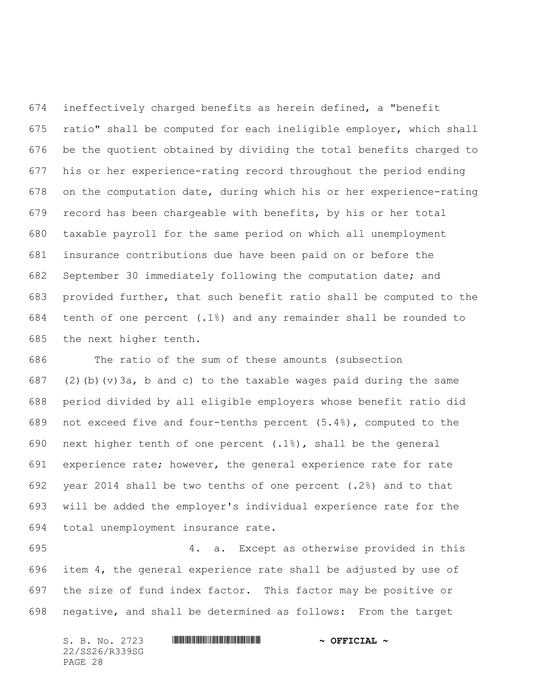ineffectively charged benefits as herein defined, a "benefit ratio" shall be computed for each ineligible employer, which shall be the quotient obtained by dividing the total benefits charged to his or her experience-rating record throughout the period ending on the computation date, during which his or her experience-rating record has been chargeable with benefits, by his or her total taxable payroll for the same period on which all unemployment insurance contributions due have been paid on or before the September 30 immediately following the computation date; and provided further, that such benefit ratio shall be computed to the tenth of one percent (.1%) and any remainder shall be rounded to the next higher tenth.

 The ratio of the sum of these amounts (subsection 687 (2)(b)(v)3a, b and c) to the taxable wages paid during the same period divided by all eligible employers whose benefit ratio did not exceed five and four-tenths percent (5.4%), computed to the 690 next higher tenth of one percent  $(.1%)$ , shall be the general experience rate; however, the general experience rate for rate year 2014 shall be two tenths of one percent (.2%) and to that will be added the employer's individual experience rate for the total unemployment insurance rate.

 4. a. Except as otherwise provided in this item 4, the general experience rate shall be adjusted by use of the size of fund index factor. This factor may be positive or negative, and shall be determined as follows: From the target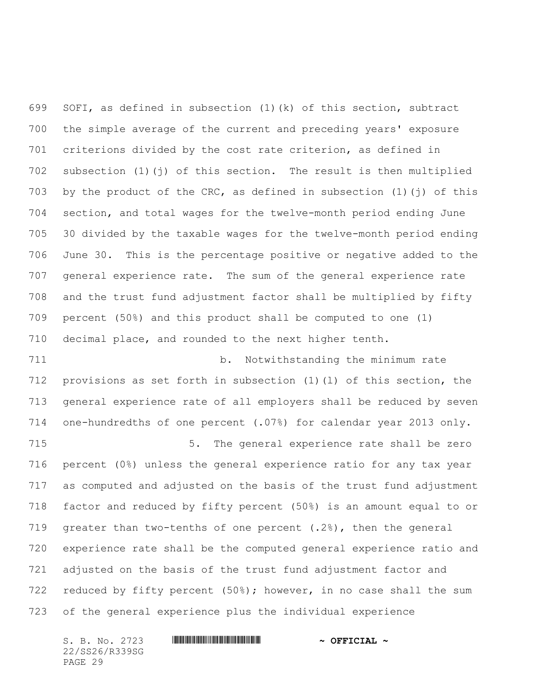SOFI, as defined in subsection (1)(k) of this section, subtract the simple average of the current and preceding years' exposure criterions divided by the cost rate criterion, as defined in subsection (1)(j) of this section. The result is then multiplied by the product of the CRC, as defined in subsection (1)(j) of this section, and total wages for the twelve-month period ending June 30 divided by the taxable wages for the twelve-month period ending June 30. This is the percentage positive or negative added to the general experience rate. The sum of the general experience rate and the trust fund adjustment factor shall be multiplied by fifty percent (50%) and this product shall be computed to one (1) decimal place, and rounded to the next higher tenth.

 b. Notwithstanding the minimum rate provisions as set forth in subsection (1)(l) of this section, the general experience rate of all employers shall be reduced by seven one-hundredths of one percent (.07%) for calendar year 2013 only. 5. The general experience rate shall be zero

 percent (0%) unless the general experience ratio for any tax year as computed and adjusted on the basis of the trust fund adjustment factor and reduced by fifty percent (50%) is an amount equal to or greater than two-tenths of one percent (.2%), then the general experience rate shall be the computed general experience ratio and adjusted on the basis of the trust fund adjustment factor and reduced by fifty percent (50%); however, in no case shall the sum of the general experience plus the individual experience

22/SS26/R339SG PAGE 29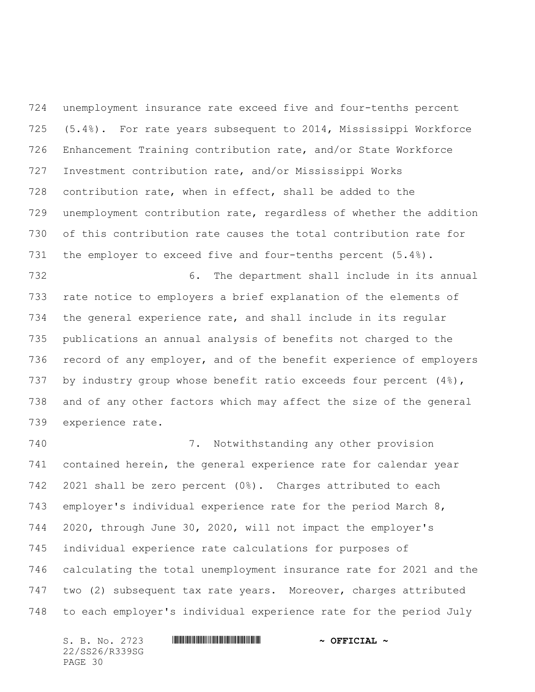unemployment insurance rate exceed five and four-tenths percent (5.4%). For rate years subsequent to 2014, Mississippi Workforce Enhancement Training contribution rate, and/or State Workforce Investment contribution rate, and/or Mississippi Works contribution rate, when in effect, shall be added to the unemployment contribution rate, regardless of whether the addition of this contribution rate causes the total contribution rate for the employer to exceed five and four-tenths percent (5.4%). 6. The department shall include in its annual rate notice to employers a brief explanation of the elements of the general experience rate, and shall include in its regular publications an annual analysis of benefits not charged to the record of any employer, and of the benefit experience of employers 737 by industry group whose benefit ratio exceeds four percent (4%), and of any other factors which may affect the size of the general experience rate.

 7. Notwithstanding any other provision contained herein, the general experience rate for calendar year 2021 shall be zero percent (0%). Charges attributed to each employer's individual experience rate for the period March 8, 2020, through June 30, 2020, will not impact the employer's individual experience rate calculations for purposes of calculating the total unemployment insurance rate for 2021 and the two (2) subsequent tax rate years. Moreover, charges attributed to each employer's individual experience rate for the period July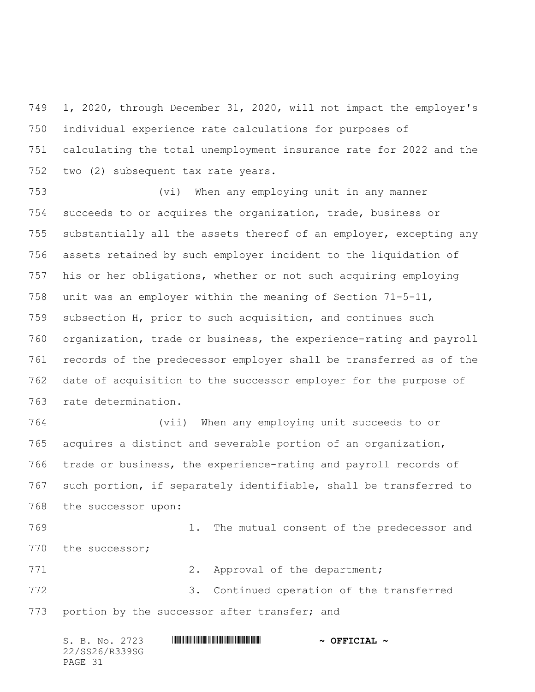1, 2020, through December 31, 2020, will not impact the employer's individual experience rate calculations for purposes of calculating the total unemployment insurance rate for 2022 and the two (2) subsequent tax rate years.

 (vi) When any employing unit in any manner succeeds to or acquires the organization, trade, business or substantially all the assets thereof of an employer, excepting any assets retained by such employer incident to the liquidation of his or her obligations, whether or not such acquiring employing unit was an employer within the meaning of Section 71-5-11, subsection H, prior to such acquisition, and continues such organization, trade or business, the experience-rating and payroll records of the predecessor employer shall be transferred as of the date of acquisition to the successor employer for the purpose of rate determination.

 (vii) When any employing unit succeeds to or acquires a distinct and severable portion of an organization, trade or business, the experience-rating and payroll records of such portion, if separately identifiable, shall be transferred to the successor upon:

 1. The mutual consent of the predecessor and 770 the successor;

771 2. Approval of the department; 3. Continued operation of the transferred 773 portion by the successor after transfer; and

| S. B. No. 2723 | $\sim$ OFFICIAL $\sim$ |
|----------------|------------------------|
| 22/SS26/R339SG |                        |
| PAGE 31        |                        |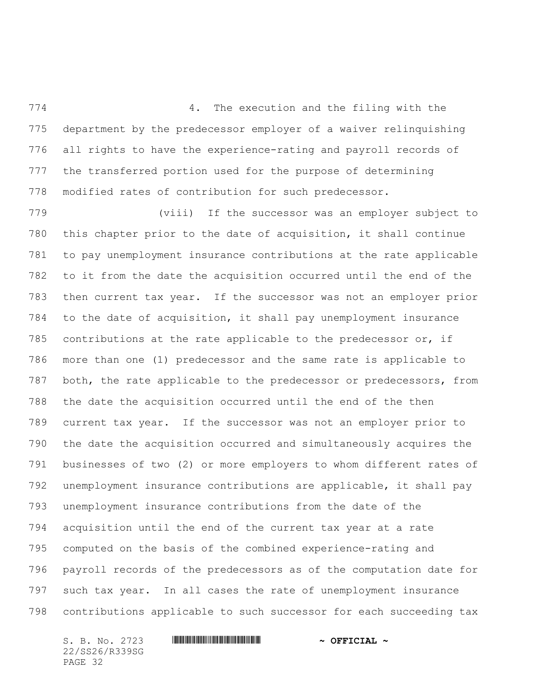774 6 12 2 2 2 3 4. The execution and the filing with the department by the predecessor employer of a waiver relinquishing all rights to have the experience-rating and payroll records of the transferred portion used for the purpose of determining modified rates of contribution for such predecessor.

 (viii) If the successor was an employer subject to this chapter prior to the date of acquisition, it shall continue to pay unemployment insurance contributions at the rate applicable to it from the date the acquisition occurred until the end of the then current tax year. If the successor was not an employer prior to the date of acquisition, it shall pay unemployment insurance contributions at the rate applicable to the predecessor or, if more than one (1) predecessor and the same rate is applicable to both, the rate applicable to the predecessor or predecessors, from the date the acquisition occurred until the end of the then current tax year. If the successor was not an employer prior to the date the acquisition occurred and simultaneously acquires the businesses of two (2) or more employers to whom different rates of unemployment insurance contributions are applicable, it shall pay unemployment insurance contributions from the date of the acquisition until the end of the current tax year at a rate computed on the basis of the combined experience-rating and payroll records of the predecessors as of the computation date for such tax year. In all cases the rate of unemployment insurance contributions applicable to such successor for each succeeding tax

22/SS26/R339SG PAGE 32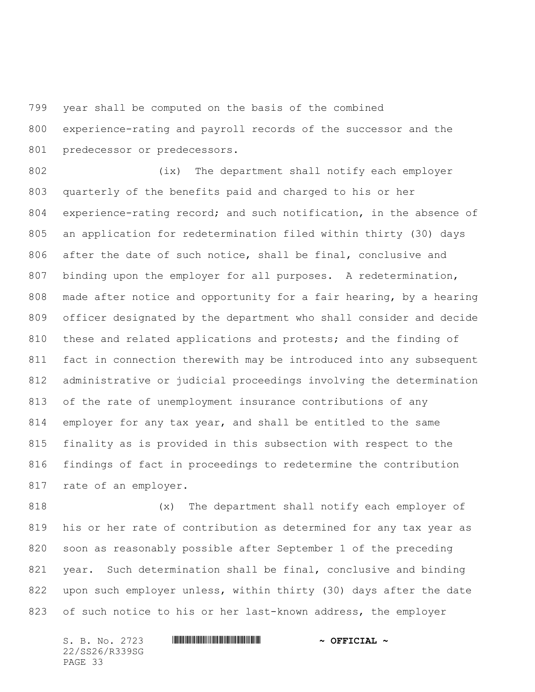year shall be computed on the basis of the combined

 experience-rating and payroll records of the successor and the 801 predecessor or predecessors.

 (ix) The department shall notify each employer quarterly of the benefits paid and charged to his or her experience-rating record; and such notification, in the absence of an application for redetermination filed within thirty (30) days after the date of such notice, shall be final, conclusive and binding upon the employer for all purposes. A redetermination, made after notice and opportunity for a fair hearing, by a hearing officer designated by the department who shall consider and decide 810 these and related applications and protests; and the finding of fact in connection therewith may be introduced into any subsequent administrative or judicial proceedings involving the determination of the rate of unemployment insurance contributions of any employer for any tax year, and shall be entitled to the same finality as is provided in this subsection with respect to the findings of fact in proceedings to redetermine the contribution rate of an employer.

 (x) The department shall notify each employer of his or her rate of contribution as determined for any tax year as soon as reasonably possible after September 1 of the preceding year. Such determination shall be final, conclusive and binding 822 upon such employer unless, within thirty (30) days after the date of such notice to his or her last-known address, the employer

22/SS26/R339SG PAGE 33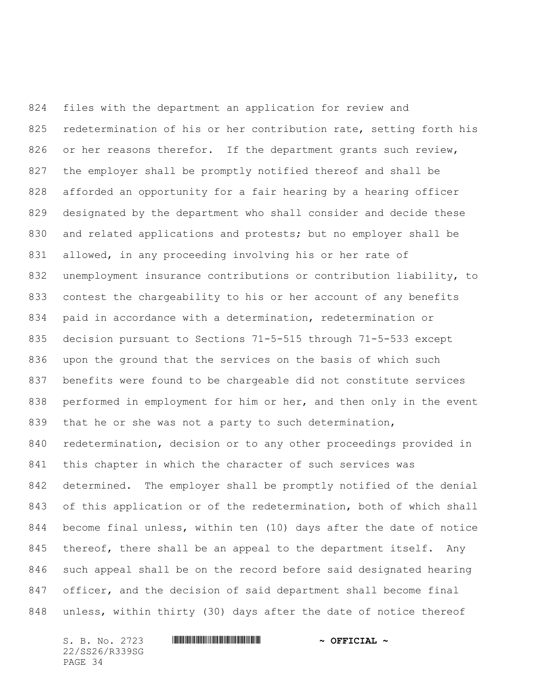files with the department an application for review and 825 redetermination of his or her contribution rate, setting forth his 826 or her reasons therefor. If the department grants such review, the employer shall be promptly notified thereof and shall be afforded an opportunity for a fair hearing by a hearing officer designated by the department who shall consider and decide these and related applications and protests; but no employer shall be allowed, in any proceeding involving his or her rate of unemployment insurance contributions or contribution liability, to contest the chargeability to his or her account of any benefits paid in accordance with a determination, redetermination or decision pursuant to Sections 71-5-515 through 71-5-533 except upon the ground that the services on the basis of which such benefits were found to be chargeable did not constitute services 838 performed in employment for him or her, and then only in the event 839 that he or she was not a party to such determination, redetermination, decision or to any other proceedings provided in this chapter in which the character of such services was determined. The employer shall be promptly notified of the denial of this application or of the redetermination, both of which shall become final unless, within ten (10) days after the date of notice 845 thereof, there shall be an appeal to the department itself. Any such appeal shall be on the record before said designated hearing officer, and the decision of said department shall become final unless, within thirty (30) days after the date of notice thereof

22/SS26/R339SG PAGE 34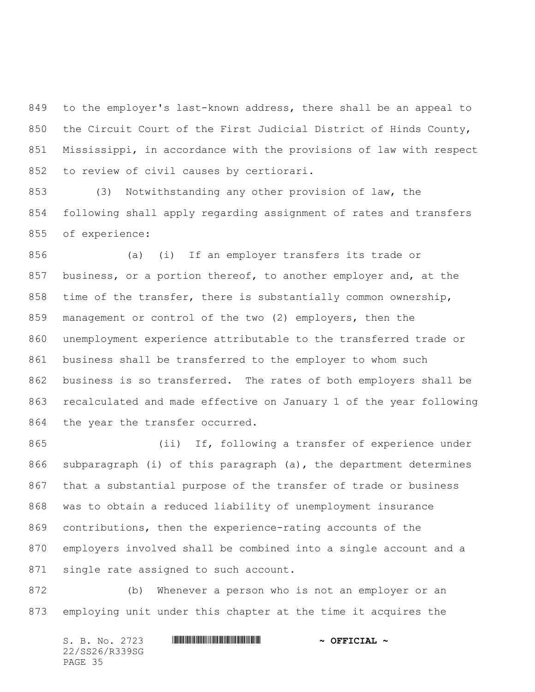to the employer's last-known address, there shall be an appeal to the Circuit Court of the First Judicial District of Hinds County, Mississippi, in accordance with the provisions of law with respect to review of civil causes by certiorari.

 (3) Notwithstanding any other provision of law, the following shall apply regarding assignment of rates and transfers of experience:

 (a) (i) If an employer transfers its trade or 857 business, or a portion thereof, to another employer and, at the time of the transfer, there is substantially common ownership, management or control of the two (2) employers, then the unemployment experience attributable to the transferred trade or business shall be transferred to the employer to whom such business is so transferred. The rates of both employers shall be recalculated and made effective on January 1 of the year following 864 the year the transfer occurred.

 (ii) If, following a transfer of experience under subparagraph (i) of this paragraph (a), the department determines that a substantial purpose of the transfer of trade or business was to obtain a reduced liability of unemployment insurance contributions, then the experience-rating accounts of the employers involved shall be combined into a single account and a single rate assigned to such account.

 (b) Whenever a person who is not an employer or an employing unit under this chapter at the time it acquires the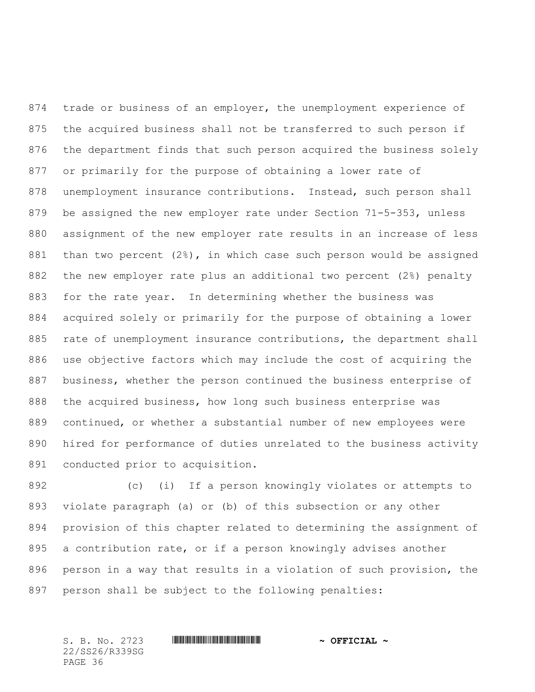874 trade or business of an employer, the unemployment experience of the acquired business shall not be transferred to such person if the department finds that such person acquired the business solely or primarily for the purpose of obtaining a lower rate of unemployment insurance contributions. Instead, such person shall be assigned the new employer rate under Section 71-5-353, unless assignment of the new employer rate results in an increase of less than two percent (2%), in which case such person would be assigned the new employer rate plus an additional two percent (2%) penalty for the rate year. In determining whether the business was acquired solely or primarily for the purpose of obtaining a lower rate of unemployment insurance contributions, the department shall use objective factors which may include the cost of acquiring the business, whether the person continued the business enterprise of the acquired business, how long such business enterprise was continued, or whether a substantial number of new employees were hired for performance of duties unrelated to the business activity conducted prior to acquisition.

 (c) (i) If a person knowingly violates or attempts to violate paragraph (a) or (b) of this subsection or any other provision of this chapter related to determining the assignment of a contribution rate, or if a person knowingly advises another person in a way that results in a violation of such provision, the person shall be subject to the following penalties: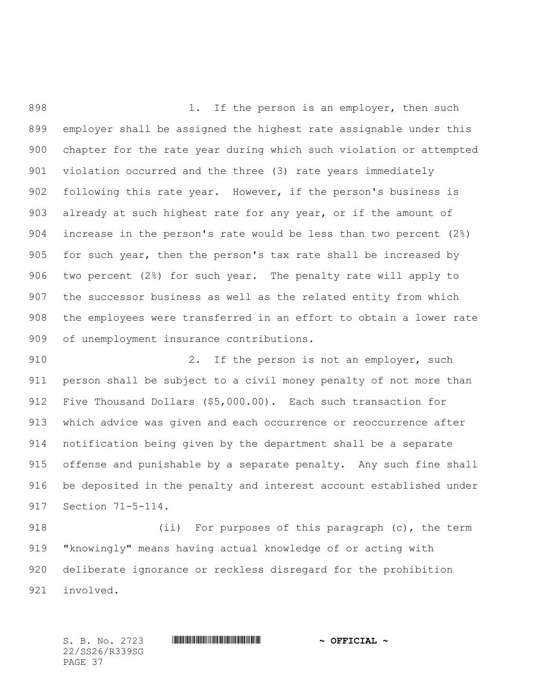898 1. If the person is an employer, then such employer shall be assigned the highest rate assignable under this chapter for the rate year during which such violation or attempted violation occurred and the three (3) rate years immediately following this rate year. However, if the person's business is already at such highest rate for any year, or if the amount of increase in the person's rate would be less than two percent (2%) 905 for such year, then the person's tax rate shall be increased by two percent (2%) for such year. The penalty rate will apply to the successor business as well as the related entity from which the employees were transferred in an effort to obtain a lower rate of unemployment insurance contributions.

910 2. If the person is not an employer, such person shall be subject to a civil money penalty of not more than Five Thousand Dollars (\$5,000.00). Each such transaction for which advice was given and each occurrence or reoccurrence after notification being given by the department shall be a separate offense and punishable by a separate penalty. Any such fine shall be deposited in the penalty and interest account established under Section 71-5-114.

 (ii) For purposes of this paragraph (c), the term "knowingly" means having actual knowledge of or acting with deliberate ignorance or reckless disregard for the prohibition involved.

22/SS26/R339SG PAGE 37

S. B. No. 2723 \*SS26/R339SG\* **~ OFFICIAL ~**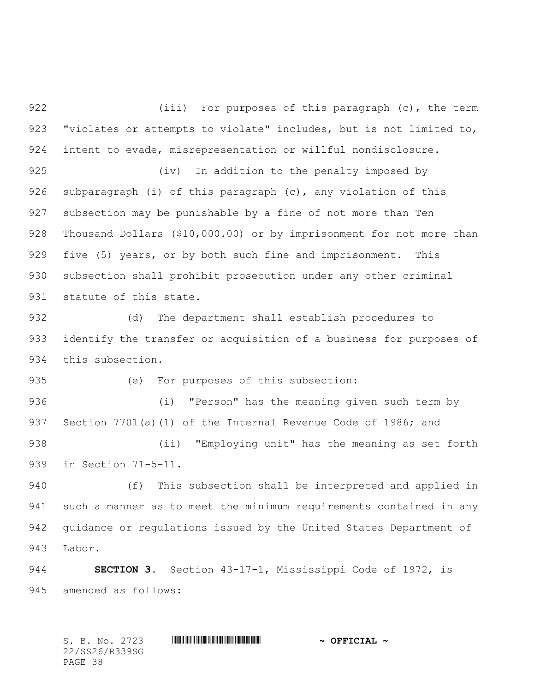922 (iii) For purposes of this paragraph (c), the term "violates or attempts to violate" includes, but is not limited to, intent to evade, misrepresentation or willful nondisclosure.

 (iv) In addition to the penalty imposed by subparagraph (i) of this paragraph (c), any violation of this subsection may be punishable by a fine of not more than Ten Thousand Dollars (\$10,000.00) or by imprisonment for not more than 929 five (5) years, or by both such fine and imprisonment. This subsection shall prohibit prosecution under any other criminal statute of this state.

 (d) The department shall establish procedures to identify the transfer or acquisition of a business for purposes of this subsection.

(e) For purposes of this subsection:

 (i) "Person" has the meaning given such term by 937 Section 7701(a)(1) of the Internal Revenue Code of 1986; and (ii) "Employing unit" has the meaning as set forth

in Section 71-5-11.

 (f) This subsection shall be interpreted and applied in such a manner as to meet the minimum requirements contained in any guidance or regulations issued by the United States Department of Labor.

**SECTION 3.** Section 43-17-1, Mississippi Code of 1972, is amended as follows: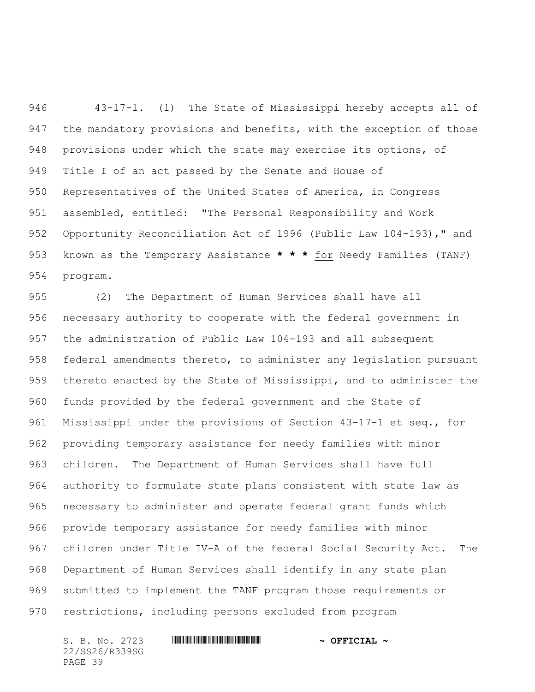43-17-1. (1) The State of Mississippi hereby accepts all of 947 the mandatory provisions and benefits, with the exception of those provisions under which the state may exercise its options, of Title I of an act passed by the Senate and House of Representatives of the United States of America, in Congress assembled, entitled: "The Personal Responsibility and Work Opportunity Reconciliation Act of 1996 (Public Law 104-193)," and known as the Temporary Assistance **\* \* \*** for Needy Families (TANF) program.

 (2) The Department of Human Services shall have all necessary authority to cooperate with the federal government in the administration of Public Law 104-193 and all subsequent federal amendments thereto, to administer any legislation pursuant thereto enacted by the State of Mississippi, and to administer the funds provided by the federal government and the State of Mississippi under the provisions of Section 43-17-1 et seq., for providing temporary assistance for needy families with minor children. The Department of Human Services shall have full authority to formulate state plans consistent with state law as necessary to administer and operate federal grant funds which provide temporary assistance for needy families with minor children under Title IV-A of the federal Social Security Act. The Department of Human Services shall identify in any state plan submitted to implement the TANF program those requirements or restrictions, including persons excluded from program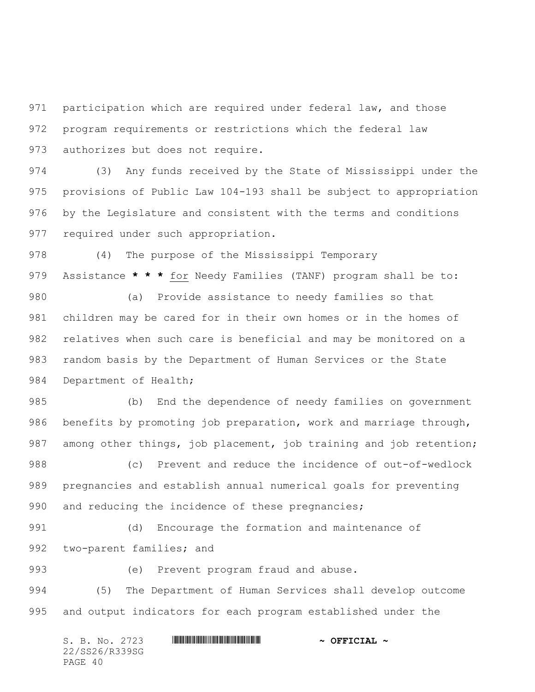participation which are required under federal law, and those program requirements or restrictions which the federal law authorizes but does not require.

 (3) Any funds received by the State of Mississippi under the provisions of Public Law 104-193 shall be subject to appropriation by the Legislature and consistent with the terms and conditions required under such appropriation.

(4) The purpose of the Mississippi Temporary

Assistance **\* \* \*** for Needy Families (TANF) program shall be to:

 (a) Provide assistance to needy families so that children may be cared for in their own homes or in the homes of relatives when such care is beneficial and may be monitored on a random basis by the Department of Human Services or the State 984 Department of Health;

 (b) End the dependence of needy families on government benefits by promoting job preparation, work and marriage through, 987 among other things, job placement, job training and job retention; (c) Prevent and reduce the incidence of out-of-wedlock pregnancies and establish annual numerical goals for preventing

990 and reducing the incidence of these pregnancies;

 (d) Encourage the formation and maintenance of 992 two-parent families; and

(e) Prevent program fraud and abuse.

 (5) The Department of Human Services shall develop outcome and output indicators for each program established under the

|         |  | S. B. No. 2723 |  | $\sim$ OFFICIAL $\sim$ |  |
|---------|--|----------------|--|------------------------|--|
|         |  | 22/SS26/R339SG |  |                        |  |
| PAGE 40 |  |                |  |                        |  |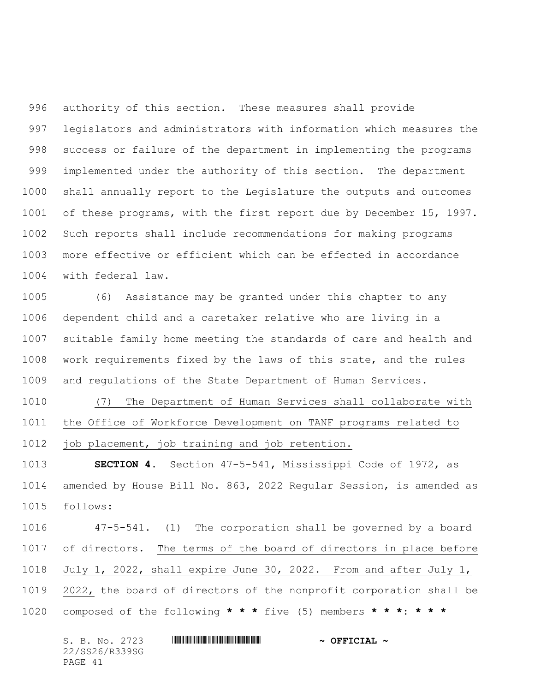authority of this section. These measures shall provide legislators and administrators with information which measures the success or failure of the department in implementing the programs implemented under the authority of this section. The department shall annually report to the Legislature the outputs and outcomes of these programs, with the first report due by December 15, 1997. Such reports shall include recommendations for making programs more effective or efficient which can be effected in accordance with federal law.

 (6) Assistance may be granted under this chapter to any dependent child and a caretaker relative who are living in a suitable family home meeting the standards of care and health and work requirements fixed by the laws of this state, and the rules and regulations of the State Department of Human Services.

 (7) The Department of Human Services shall collaborate with the Office of Workforce Development on TANF programs related to job placement, job training and job retention.

 **SECTION 4.** Section 47-5-541, Mississippi Code of 1972, as amended by House Bill No. 863, 2022 Regular Session, is amended as follows:

 47-5-541. (1) The corporation shall be governed by a board of directors. The terms of the board of directors in place before July 1, 2022, shall expire June 30, 2022. From and after July 1, 2022, the board of directors of the nonprofit corporation shall be composed of the following **\* \* \*** five (5) members **\* \* \***: **\* \* \***

| S. B. No. 2723 | $\sim$ OFFICIAL $\sim$ |
|----------------|------------------------|
| 22/SS26/R339SG |                        |
| PAGE 41        |                        |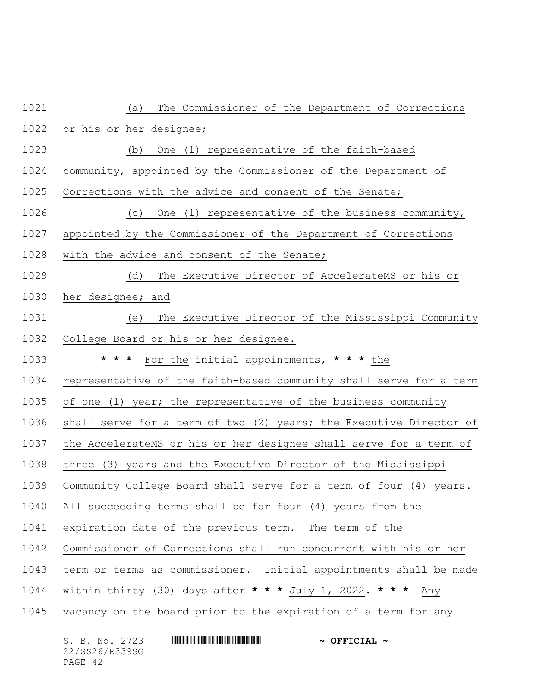| 1021 | The Commissioner of the Department of Corrections<br>(a)           |
|------|--------------------------------------------------------------------|
| 1022 | or his or her designee;                                            |
| 1023 | One (1) representative of the faith-based<br>(b)                   |
| 1024 | community, appointed by the Commissioner of the Department of      |
| 1025 | Corrections with the advice and consent of the Senate;             |
| 1026 | One (1) representative of the business community,<br>(C)           |
| 1027 | appointed by the Commissioner of the Department of Corrections     |
| 1028 | with the advice and consent of the Senate;                         |
| 1029 | (d)<br>The Executive Director of AccelerateMS or his or            |
| 1030 | her designee; and                                                  |
| 1031 | The Executive Director of the Mississippi Community<br>(e)         |
| 1032 | College Board or his or her designee.                              |
| 1033 | For the initial appointments, $\star \star \star$ the<br>* * *     |
| 1034 | representative of the faith-based community shall serve for a term |
| 1035 | of one (1) year; the representative of the business community      |
| 1036 | shall serve for a term of two (2) years; the Executive Director of |
| 1037 | the AccelerateMS or his or her designee shall serve for a term of  |
| 1038 | three (3) years and the Executive Director of the Mississippi      |
| 1039 | Community College Board shall serve for a term of four (4) years.  |
| 1040 | All succeeding terms shall be for four (4) years from the          |
| 1041 | expiration date of the previous term. The term of the              |
| 1042 | Commissioner of Corrections shall run concurrent with his or her   |
| 1043 | term or terms as commissioner. Initial appointments shall be made  |
| 1044 | within thirty (30) days after * * * July 1, 2022. * * *<br>Any     |
| 1045 | vacancy on the board prior to the expiration of a term for any     |

| S. B. No. 2723 | $\sim$ OFFICIAL $\sim$ |
|----------------|------------------------|
| 22/SS26/R339SG |                        |
| PAGE 42        |                        |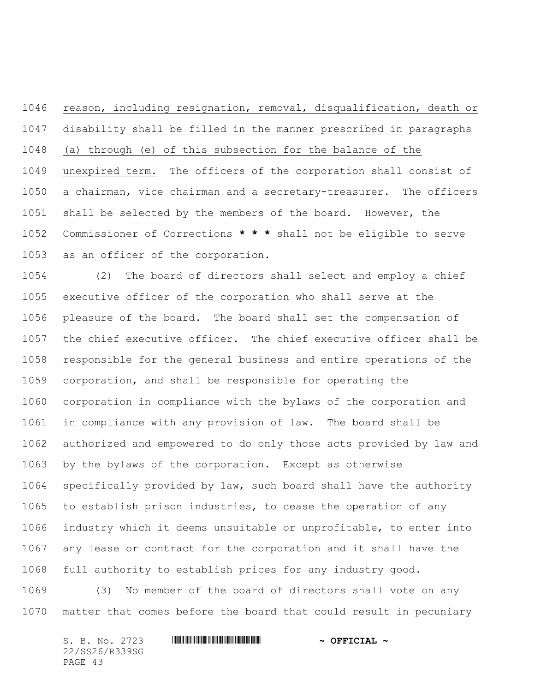reason, including resignation, removal, disqualification, death or disability shall be filled in the manner prescribed in paragraphs (a) through (e) of this subsection for the balance of the unexpired term. The officers of the corporation shall consist of a chairman, vice chairman and a secretary-treasurer. The officers shall be selected by the members of the board. However, the Commissioner of Corrections **\* \* \*** shall not be eligible to serve as an officer of the corporation.

 (2) The board of directors shall select and employ a chief executive officer of the corporation who shall serve at the pleasure of the board. The board shall set the compensation of the chief executive officer. The chief executive officer shall be responsible for the general business and entire operations of the corporation, and shall be responsible for operating the corporation in compliance with the bylaws of the corporation and in compliance with any provision of law. The board shall be authorized and empowered to do only those acts provided by law and by the bylaws of the corporation. Except as otherwise specifically provided by law, such board shall have the authority to establish prison industries, to cease the operation of any industry which it deems unsuitable or unprofitable, to enter into any lease or contract for the corporation and it shall have the full authority to establish prices for any industry good.

 (3) No member of the board of directors shall vote on any matter that comes before the board that could result in pecuniary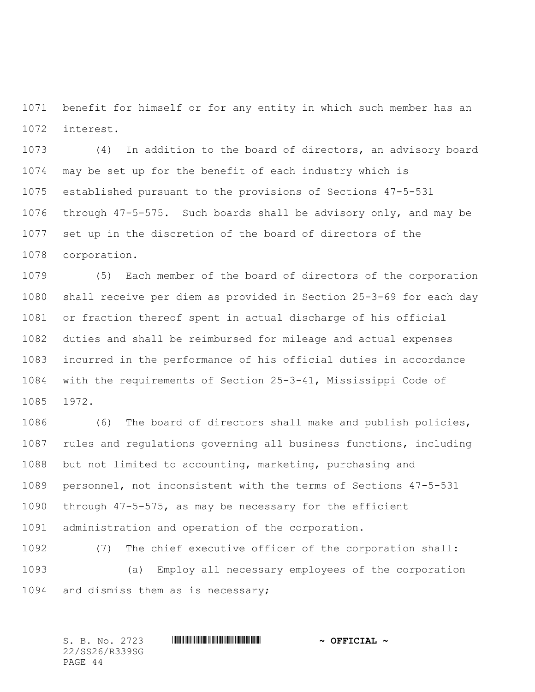benefit for himself or for any entity in which such member has an interest.

 (4) In addition to the board of directors, an advisory board may be set up for the benefit of each industry which is established pursuant to the provisions of Sections 47-5-531 through 47-5-575. Such boards shall be advisory only, and may be set up in the discretion of the board of directors of the corporation.

 (5) Each member of the board of directors of the corporation shall receive per diem as provided in Section 25-3-69 for each day or fraction thereof spent in actual discharge of his official duties and shall be reimbursed for mileage and actual expenses incurred in the performance of his official duties in accordance with the requirements of Section 25-3-41, Mississippi Code of 1972.

 (6) The board of directors shall make and publish policies, rules and regulations governing all business functions, including but not limited to accounting, marketing, purchasing and personnel, not inconsistent with the terms of Sections 47-5-531 through 47-5-575, as may be necessary for the efficient administration and operation of the corporation.

 (7) The chief executive officer of the corporation shall: (a) Employ all necessary employees of the corporation and dismiss them as is necessary;